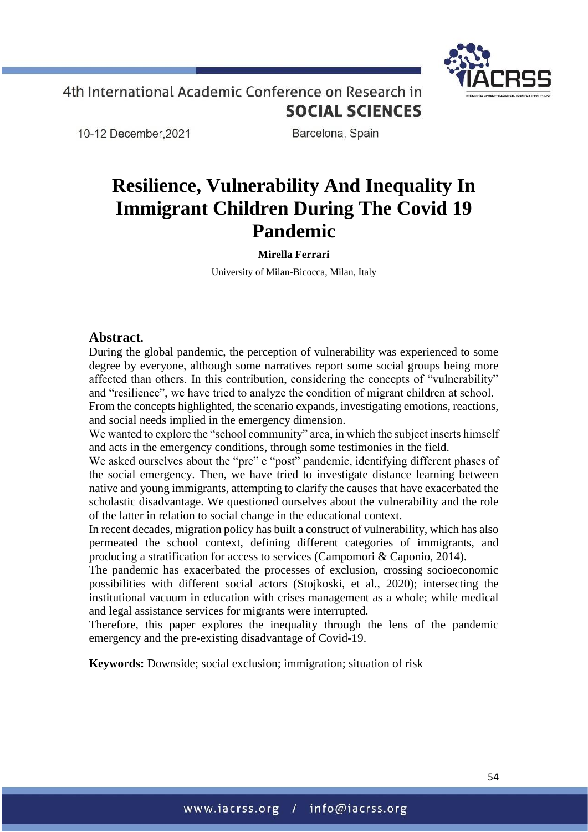10-12 December, 2021

Barcelona, Spain

# **Resilience, Vulnerability And Inequality In Immigrant Children During The Covid 19 Pandemic**

**Mirella Ferrari**

University of Milan-Bicocca, Milan, Italy

### **Abstract.**

During the global pandemic, the perception of vulnerability was experienced to some degree by everyone, although some narratives report some social groups being more affected than others. In this contribution, considering the concepts of "vulnerability" and "resilience", we have tried to analyze the condition of migrant children at school. From the concepts highlighted, the scenario expands, investigating emotions, reactions, and social needs implied in the emergency dimension.

We wanted to explore the "school community" area, in which the subject inserts himself and acts in the emergency conditions, through some testimonies in the field.

We asked ourselves about the "pre" e "post" pandemic, identifying different phases of the social emergency. Then, we have tried to investigate distance learning between native and young immigrants, attempting to clarify the causes that have exacerbated the scholastic disadvantage. We questioned ourselves about the vulnerability and the role of the latter in relation to social change in the educational context.

In recent decades, migration policy has built a construct of vulnerability, which has also permeated the school context, defining different categories of immigrants, and producing a stratification for access to services (Campomori & Caponio, 2014).

The pandemic has exacerbated the processes of exclusion, crossing socioeconomic possibilities with different social actors (Stojkoski, et al., 2020); intersecting the institutional vacuum in education with crises management as a whole; while medical and legal assistance services for migrants were interrupted.

Therefore, this paper explores the inequality through the lens of the pandemic emergency and the pre-existing disadvantage of Covid-19.

**Keywords:** Downside; social exclusion; immigration; situation of risk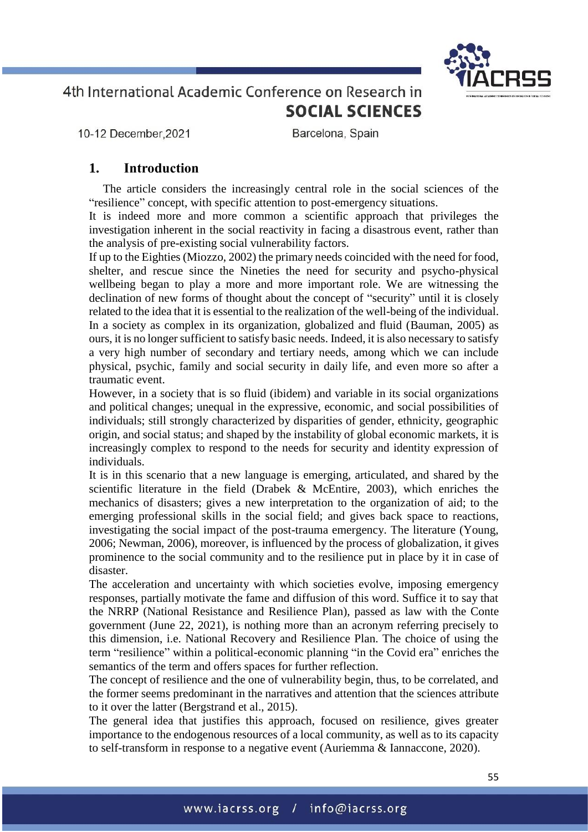10-12 December, 2021

Barcelona, Spain

## **1. Introduction**

The article considers the increasingly central role in the social sciences of the "resilience" concept, with specific attention to post-emergency situations.

It is indeed more and more common a scientific approach that privileges the investigation inherent in the social reactivity in facing a disastrous event, rather than the analysis of pre-existing social vulnerability factors.

If up to the Eighties (Miozzo, 2002) the primary needs coincided with the need for food, shelter, and rescue since the Nineties the need for security and psycho-physical wellbeing began to play a more and more important role. We are witnessing the declination of new forms of thought about the concept of "security" until it is closely related to the idea that it is essential to the realization of the well-being of the individual. In a society as complex in its organization, globalized and fluid (Bauman, 2005) as ours, it is no longer sufficient to satisfy basic needs. Indeed, it is also necessary to satisfy a very high number of secondary and tertiary needs, among which we can include physical, psychic, family and social security in daily life, and even more so after a traumatic event.

However, in a society that is so fluid (ibidem) and variable in its social organizations and political changes; unequal in the expressive, economic, and social possibilities of individuals; still strongly characterized by disparities of gender, ethnicity, geographic origin, and social status; and shaped by the instability of global economic markets, it is increasingly complex to respond to the needs for security and identity expression of individuals.

It is in this scenario that a new language is emerging, articulated, and shared by the scientific literature in the field (Drabek & McEntire, 2003), which enriches the mechanics of disasters; gives a new interpretation to the organization of aid; to the emerging professional skills in the social field; and gives back space to reactions, investigating the social impact of the post-trauma emergency. The literature (Young, 2006; Newman, 2006), moreover, is influenced by the process of globalization, it gives prominence to the social community and to the resilience put in place by it in case of disaster.

The acceleration and uncertainty with which societies evolve, imposing emergency responses, partially motivate the fame and diffusion of this word. Suffice it to say that the NRRP (National Resistance and Resilience Plan), passed as law with the Conte government (June 22, 2021), is nothing more than an acronym referring precisely to this dimension, i.e. National Recovery and Resilience Plan. The choice of using the term "resilience" within a political-economic planning "in the Covid era" enriches the semantics of the term and offers spaces for further reflection.

The concept of resilience and the one of vulnerability begin, thus, to be correlated, and the former seems predominant in the narratives and attention that the sciences attribute to it over the latter (Bergstrand et al., 2015).

The general idea that justifies this approach, focused on resilience, gives greater importance to the endogenous resources of a local community, as well as to its capacity to self-transform in response to a negative event (Auriemma & Iannaccone, 2020).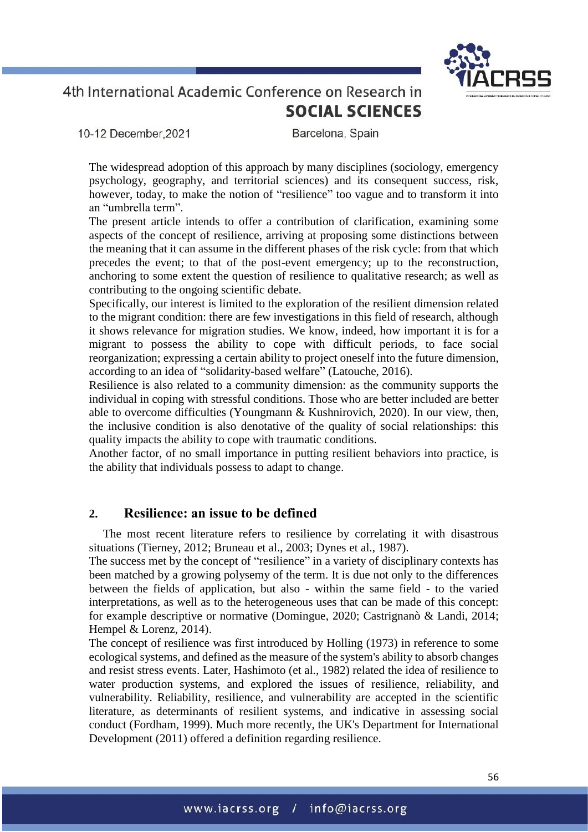10-12 December.2021

Barcelona, Spain

The widespread adoption of this approach by many disciplines (sociology, emergency psychology, geography, and territorial sciences) and its consequent success, risk, however, today, to make the notion of "resilience" too vague and to transform it into an "umbrella term".

The present article intends to offer a contribution of clarification, examining some aspects of the concept of resilience, arriving at proposing some distinctions between the meaning that it can assume in the different phases of the risk cycle: from that which precedes the event; to that of the post-event emergency; up to the reconstruction, anchoring to some extent the question of resilience to qualitative research; as well as contributing to the ongoing scientific debate.

Specifically, our interest is limited to the exploration of the resilient dimension related to the migrant condition: there are few investigations in this field of research, although it shows relevance for migration studies. We know, indeed, how important it is for a migrant to possess the ability to cope with difficult periods, to face social reorganization; expressing a certain ability to project oneself into the future dimension, according to an idea of "solidarity-based welfare" (Latouche, 2016).

Resilience is also related to a community dimension: as the community supports the individual in coping with stressful conditions. Those who are better included are better able to overcome difficulties (Youngmann & Kushnirovich, 2020). In our view, then, the inclusive condition is also denotative of the quality of social relationships: this quality impacts the ability to cope with traumatic conditions.

Another factor, of no small importance in putting resilient behaviors into practice, is the ability that individuals possess to adapt to change.

## **2. Resilience: an issue to be defined**

The most recent literature refers to resilience by correlating it with disastrous situations (Tierney, 2012; Bruneau et al., 2003; Dynes et al., 1987).

The success met by the concept of "resilience" in a variety of disciplinary contexts has been matched by a growing polysemy of the term. It is due not only to the differences between the fields of application, but also - within the same field - to the varied interpretations, as well as to the heterogeneous uses that can be made of this concept: for example descriptive or normative (Domingue, 2020; Castrignanò & Landi, 2014; Hempel & Lorenz, 2014).

The concept of resilience was first introduced by Holling (1973) in reference to some ecological systems, and defined as the measure of the system's ability to absorb changes and resist stress events. Later, Hashimoto (et al., 1982) related the idea of resilience to water production systems, and explored the issues of resilience, reliability, and vulnerability. Reliability, resilience, and vulnerability are accepted in the scientific literature, as determinants of resilient systems, and indicative in assessing social conduct (Fordham, 1999). Much more recently, the UK's Department for International Development (2011) offered a definition regarding resilience.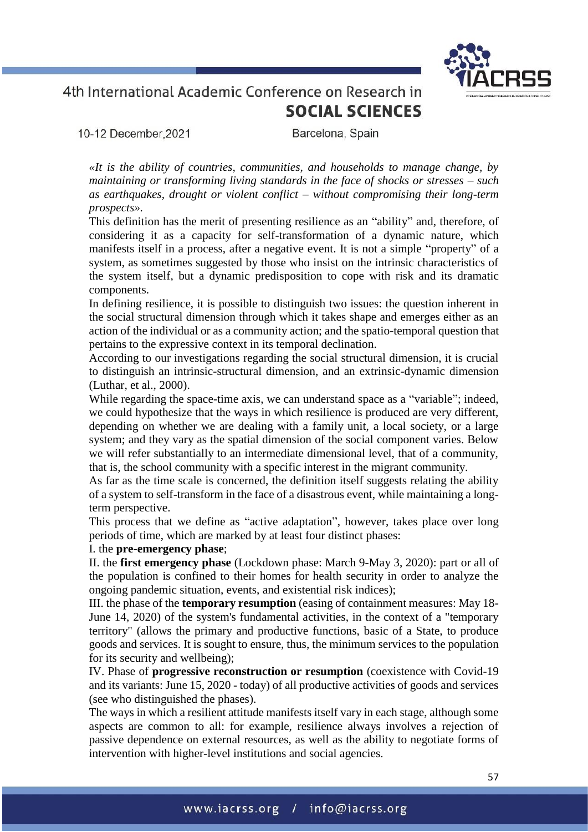10-12 December.2021

Barcelona, Spain

*«It is the ability of countries, communities, and households to manage change, by maintaining or transforming living standards in the face of shocks or stresses – such as earthquakes, drought or violent conflict – without compromising their long-term prospects».* 

This definition has the merit of presenting resilience as an "ability" and, therefore, of considering it as a capacity for self-transformation of a dynamic nature, which manifests itself in a process, after a negative event. It is not a simple "property" of a system, as sometimes suggested by those who insist on the intrinsic characteristics of the system itself, but a dynamic predisposition to cope with risk and its dramatic components.

In defining resilience, it is possible to distinguish two issues: the question inherent in the social structural dimension through which it takes shape and emerges either as an action of the individual or as a community action; and the spatio-temporal question that pertains to the expressive context in its temporal declination.

According to our investigations regarding the social structural dimension, it is crucial to distinguish an intrinsic-structural dimension, and an extrinsic-dynamic dimension (Luthar, et al., 2000).

While regarding the space-time axis, we can understand space as a "variable"; indeed, we could hypothesize that the ways in which resilience is produced are very different, depending on whether we are dealing with a family unit, a local society, or a large system; and they vary as the spatial dimension of the social component varies. Below we will refer substantially to an intermediate dimensional level, that of a community, that is, the school community with a specific interest in the migrant community.

As far as the time scale is concerned, the definition itself suggests relating the ability of a system to self-transform in the face of a disastrous event, while maintaining a longterm perspective.

This process that we define as "active adaptation", however, takes place over long periods of time, which are marked by at least four distinct phases:

### I. the **pre-emergency phase**;

II. the **first emergency phase** (Lockdown phase: March 9-May 3, 2020): part or all of the population is confined to their homes for health security in order to analyze the ongoing pandemic situation, events, and existential risk indices);

III. the phase of the **temporary resumption** (easing of containment measures: May 18- June 14, 2020) of the system's fundamental activities, in the context of a "temporary territory" (allows the primary and productive functions, basic of a State, to produce goods and services. It is sought to ensure, thus, the minimum services to the population for its security and wellbeing);

IV. Phase of **progressive reconstruction or resumption** (coexistence with Covid-19 and its variants: June 15, 2020 - today) of all productive activities of goods and services (see who distinguished the phases).

The ways in which a resilient attitude manifests itself vary in each stage, although some aspects are common to all: for example, resilience always involves a rejection of passive dependence on external resources, as well as the ability to negotiate forms of intervention with higher-level institutions and social agencies.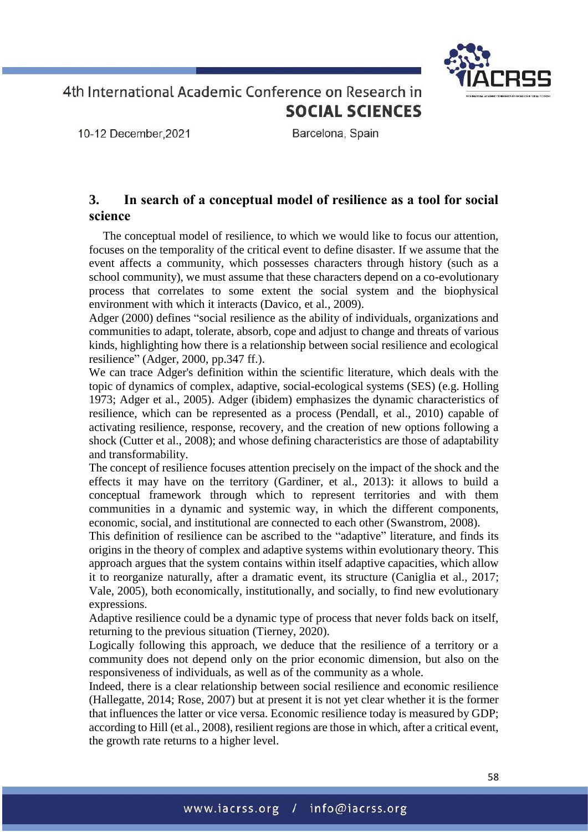

10-12 December, 2021

Barcelona, Spain

## **3. In search of a conceptual model of resilience as a tool for social science**

The conceptual model of resilience, to which we would like to focus our attention, focuses on the temporality of the critical event to define disaster. If we assume that the event affects a community, which possesses characters through history (such as a school community), we must assume that these characters depend on a co-evolutionary process that correlates to some extent the social system and the biophysical environment with which it interacts (Davico, et al., 2009).

Adger (2000) defines "social resilience as the ability of individuals, organizations and communities to adapt, tolerate, absorb, cope and adjust to change and threats of various kinds, highlighting how there is a relationship between social resilience and ecological resilience" (Adger, 2000, pp.347 ff.).

We can trace Adger's definition within the scientific literature, which deals with the topic of dynamics of complex, adaptive, social-ecological systems (SES) (e.g. Holling 1973; Adger et al., 2005). Adger (ibidem) emphasizes the dynamic characteristics of resilience, which can be represented as a process (Pendall, et al., 2010) capable of activating resilience, response, recovery, and the creation of new options following a shock (Cutter et al., 2008); and whose defining characteristics are those of adaptability and transformability.

The concept of resilience focuses attention precisely on the impact of the shock and the effects it may have on the territory (Gardiner, et al., 2013): it allows to build a conceptual framework through which to represent territories and with them communities in a dynamic and systemic way, in which the different components, economic, social, and institutional are connected to each other (Swanstrom, 2008).

This definition of resilience can be ascribed to the "adaptive" literature, and finds its origins in the theory of complex and adaptive systems within evolutionary theory. This approach argues that the system contains within itself adaptive capacities, which allow it to reorganize naturally, after a dramatic event, its structure (Caniglia et al., 2017; Vale, 2005), both economically, institutionally, and socially, to find new evolutionary expressions.

Adaptive resilience could be a dynamic type of process that never folds back on itself, returning to the previous situation (Tierney, 2020).

Logically following this approach, we deduce that the resilience of a territory or a community does not depend only on the prior economic dimension, but also on the responsiveness of individuals, as well as of the community as a whole.

Indeed, there is a clear relationship between social resilience and economic resilience (Hallegatte, 2014; Rose, 2007) but at present it is not yet clear whether it is the former that influences the latter or vice versa. Economic resilience today is measured by GDP; according to Hill (et al., 2008), resilient regions are those in which, after a critical event, the growth rate returns to a higher level.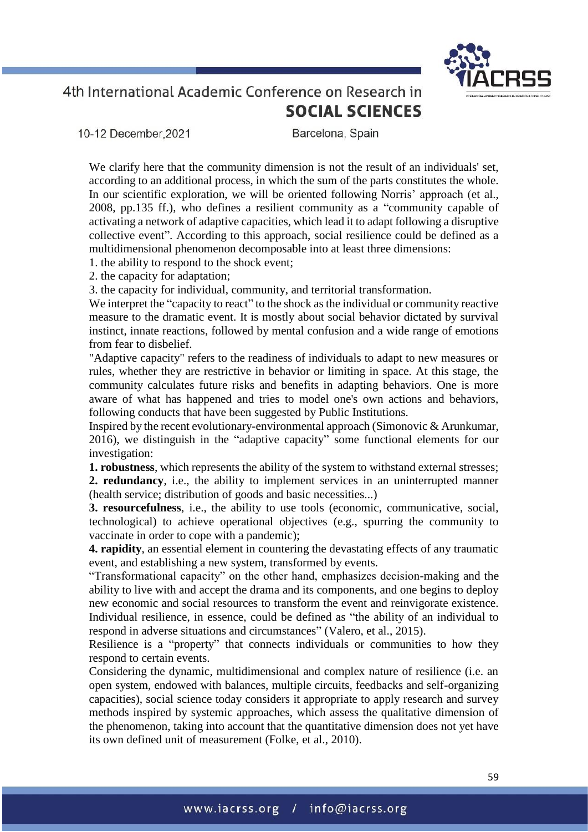

10-12 December.2021

Barcelona, Spain

We clarify here that the community dimension is not the result of an individuals' set, according to an additional process, in which the sum of the parts constitutes the whole. In our scientific exploration, we will be oriented following Norris' approach (et al., 2008, pp.135 ff.), who defines a resilient community as a "community capable of activating a network of adaptive capacities, which lead it to adapt following a disruptive collective event". According to this approach, social resilience could be defined as a multidimensional phenomenon decomposable into at least three dimensions:

- 1. the ability to respond to the shock event;
- 2. the capacity for adaptation;

3. the capacity for individual, community, and territorial transformation.

We interpret the "capacity to react" to the shock as the individual or community reactive measure to the dramatic event. It is mostly about social behavior dictated by survival instinct, innate reactions, followed by mental confusion and a wide range of emotions from fear to disbelief.

"Adaptive capacity" refers to the readiness of individuals to adapt to new measures or rules, whether they are restrictive in behavior or limiting in space. At this stage, the community calculates future risks and benefits in adapting behaviors. One is more aware of what has happened and tries to model one's own actions and behaviors, following conducts that have been suggested by Public Institutions.

Inspired by the recent evolutionary-environmental approach (Simonovic & Arunkumar, 2016), we distinguish in the "adaptive capacity" some functional elements for our investigation:

**1. robustness**, which represents the ability of the system to withstand external stresses; **2. redundancy**, i.e., the ability to implement services in an uninterrupted manner (health service; distribution of goods and basic necessities...)

**3. resourcefulness**, i.e., the ability to use tools (economic, communicative, social, technological) to achieve operational objectives (e.g., spurring the community to vaccinate in order to cope with a pandemic);

**4. rapidity**, an essential element in countering the devastating effects of any traumatic event, and establishing a new system, transformed by events.

"Transformational capacity" on the other hand, emphasizes decision-making and the ability to live with and accept the drama and its components, and one begins to deploy new economic and social resources to transform the event and reinvigorate existence. Individual resilience, in essence, could be defined as "the ability of an individual to respond in adverse situations and circumstances" (Valero, et al., 2015).

Resilience is a "property" that connects individuals or communities to how they respond to certain events.

Considering the dynamic, multidimensional and complex nature of resilience (i.e. an open system, endowed with balances, multiple circuits, feedbacks and self-organizing capacities), social science today considers it appropriate to apply research and survey methods inspired by systemic approaches, which assess the qualitative dimension of the phenomenon, taking into account that the quantitative dimension does not yet have its own defined unit of measurement (Folke, et al., 2010).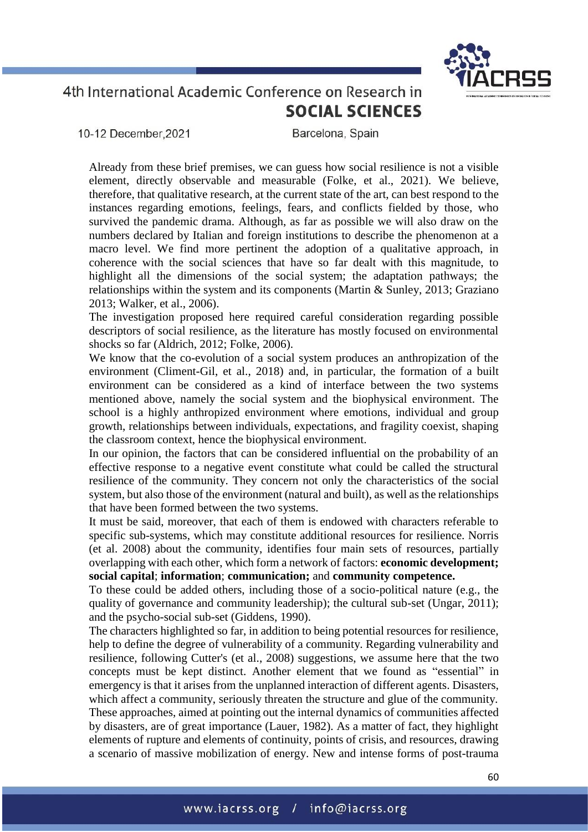

10-12 December.2021

Barcelona, Spain

Already from these brief premises, we can guess how social resilience is not a visible element, directly observable and measurable (Folke, et al., 2021). We believe, therefore, that qualitative research, at the current state of the art, can best respond to the instances regarding emotions, feelings, fears, and conflicts fielded by those, who survived the pandemic drama. Although, as far as possible we will also draw on the numbers declared by Italian and foreign institutions to describe the phenomenon at a macro level. We find more pertinent the adoption of a qualitative approach, in coherence with the social sciences that have so far dealt with this magnitude, to highlight all the dimensions of the social system; the adaptation pathways; the relationships within the system and its components (Martin & Sunley, 2013; Graziano 2013; Walker, et al., 2006).

The investigation proposed here required careful consideration regarding possible descriptors of social resilience, as the literature has mostly focused on environmental shocks so far (Aldrich, 2012; Folke, 2006).

We know that the co-evolution of a social system produces an anthropization of the environment (Climent-Gil, et al., 2018) and, in particular, the formation of a built environment can be considered as a kind of interface between the two systems mentioned above, namely the social system and the biophysical environment. The school is a highly anthropized environment where emotions, individual and group growth, relationships between individuals, expectations, and fragility coexist, shaping the classroom context, hence the biophysical environment.

In our opinion, the factors that can be considered influential on the probability of an effective response to a negative event constitute what could be called the structural resilience of the community. They concern not only the characteristics of the social system, but also those of the environment (natural and built), as well as the relationships that have been formed between the two systems.

It must be said, moreover, that each of them is endowed with characters referable to specific sub-systems, which may constitute additional resources for resilience. Norris (et al. 2008) about the community, identifies four main sets of resources, partially overlapping with each other, which form a network of factors: **economic development; social capital**; **information**; **communication;** and **community competence.**

To these could be added others, including those of a socio-political nature (e.g., the quality of governance and community leadership); the cultural sub-set (Ungar, 2011); and the psycho-social sub-set (Giddens, 1990).

The characters highlighted so far, in addition to being potential resources for resilience, help to define the degree of vulnerability of a community. Regarding vulnerability and resilience, following Cutter's (et al., 2008) suggestions, we assume here that the two concepts must be kept distinct. Another element that we found as "essential" in emergency is that it arises from the unplanned interaction of different agents. Disasters, which affect a community, seriously threaten the structure and glue of the community. These approaches, aimed at pointing out the internal dynamics of communities affected by disasters, are of great importance (Lauer, 1982). As a matter of fact, they highlight elements of rupture and elements of continuity, points of crisis, and resources, drawing a scenario of massive mobilization of energy. New and intense forms of post-trauma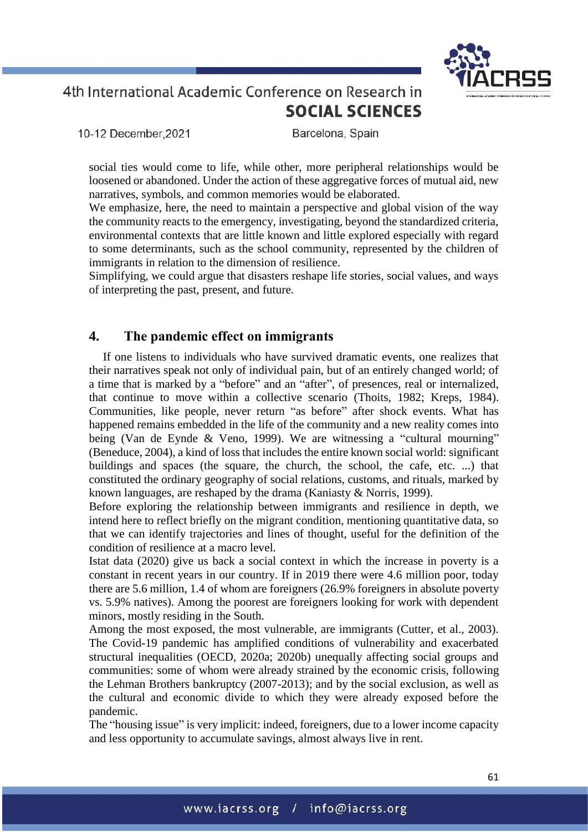

10-12 December.2021

Barcelona, Spain

social ties would come to life, while other, more peripheral relationships would be loosened or abandoned. Under the action of these aggregative forces of mutual aid, new narratives, symbols, and common memories would be elaborated.

We emphasize, here, the need to maintain a perspective and global vision of the way the community reacts to the emergency, investigating, beyond the standardized criteria, environmental contexts that are little known and little explored especially with regard to some determinants, such as the school community, represented by the children of immigrants in relation to the dimension of resilience.

Simplifying, we could argue that disasters reshape life stories, social values, and ways of interpreting the past, present, and future.

## **4. The pandemic effect on immigrants**

If one listens to individuals who have survived dramatic events, one realizes that their narratives speak not only of individual pain, but of an entirely changed world; of a time that is marked by a "before" and an "after", of presences, real or internalized, that continue to move within a collective scenario (Thoits, 1982; Kreps, 1984). Communities, like people, never return "as before" after shock events. What has happened remains embedded in the life of the community and a new reality comes into being (Van de Eynde & Veno, 1999). We are witnessing a "cultural mourning" (Beneduce, 2004), a kind of loss that includes the entire known social world: significant buildings and spaces (the square, the church, the school, the cafe, etc. ...) that constituted the ordinary geography of social relations, customs, and rituals, marked by known languages, are reshaped by the drama (Kaniasty & Norris, 1999).

Before exploring the relationship between immigrants and resilience in depth, we intend here to reflect briefly on the migrant condition, mentioning quantitative data, so that we can identify trajectories and lines of thought, useful for the definition of the condition of resilience at a macro level.

Istat data (2020) give us back a social context in which the increase in poverty is a constant in recent years in our country. If in 2019 there were 4.6 million poor, today there are 5.6 million, 1.4 of whom are foreigners (26.9% foreigners in absolute poverty vs. 5.9% natives). Among the poorest are foreigners looking for work with dependent minors, mostly residing in the South.

Among the most exposed, the most vulnerable, are immigrants (Cutter, et al., 2003). The Covid-19 pandemic has amplified conditions of vulnerability and exacerbated structural inequalities (OECD, 2020a; 2020b) unequally affecting social groups and communities: some of whom were already strained by the economic crisis, following the Lehman Brothers bankruptcy (2007-2013); and by the social exclusion, as well as the cultural and economic divide to which they were already exposed before the pandemic.

The "housing issue" is very implicit: indeed, foreigners, due to a lower income capacity and less opportunity to accumulate savings, almost always live in rent.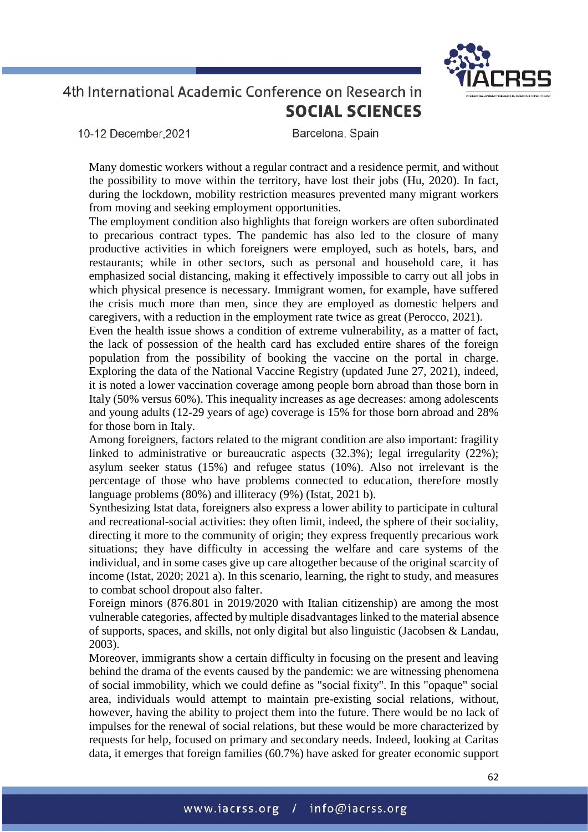10-12 December.2021

Barcelona, Spain

Many domestic workers without a regular contract and a residence permit, and without the possibility to move within the territory, have lost their jobs (Hu, 2020). In fact, during the lockdown, mobility restriction measures prevented many migrant workers from moving and seeking employment opportunities.

The employment condition also highlights that foreign workers are often subordinated to precarious contract types. The pandemic has also led to the closure of many productive activities in which foreigners were employed, such as hotels, bars, and restaurants; while in other sectors, such as personal and household care, it has emphasized social distancing, making it effectively impossible to carry out all jobs in which physical presence is necessary. Immigrant women, for example, have suffered the crisis much more than men, since they are employed as domestic helpers and caregivers, with a reduction in the employment rate twice as great (Perocco, 2021).

Even the health issue shows a condition of extreme vulnerability, as a matter of fact, the lack of possession of the health card has excluded entire shares of the foreign population from the possibility of booking the vaccine on the portal in charge. Exploring the data of the National Vaccine Registry (updated June 27, 2021), indeed, it is noted a lower vaccination coverage among people born abroad than those born in Italy (50% versus 60%). This inequality increases as age decreases: among adolescents and young adults (12-29 years of age) coverage is 15% for those born abroad and 28% for those born in Italy.

Among foreigners, factors related to the migrant condition are also important: fragility linked to administrative or bureaucratic aspects (32.3%); legal irregularity (22%); asylum seeker status (15%) and refugee status (10%). Also not irrelevant is the percentage of those who have problems connected to education, therefore mostly language problems (80%) and illiteracy (9%) (Istat, 2021 b).

Synthesizing Istat data, foreigners also express a lower ability to participate in cultural and recreational-social activities: they often limit, indeed, the sphere of their sociality, directing it more to the community of origin; they express frequently precarious work situations; they have difficulty in accessing the welfare and care systems of the individual, and in some cases give up care altogether because of the original scarcity of income (Istat, 2020; 2021 a). In this scenario, learning, the right to study, and measures to combat school dropout also falter.

Foreign minors (876.801 in 2019/2020 with Italian citizenship) are among the most vulnerable categories, affected by multiple disadvantages linked to the material absence of supports, spaces, and skills, not only digital but also linguistic (Jacobsen & Landau, 2003).

Moreover, immigrants show a certain difficulty in focusing on the present and leaving behind the drama of the events caused by the pandemic: we are witnessing phenomena of social immobility, which we could define as "social fixity". In this "opaque" social area, individuals would attempt to maintain pre-existing social relations, without, however, having the ability to project them into the future. There would be no lack of impulses for the renewal of social relations, but these would be more characterized by requests for help, focused on primary and secondary needs. Indeed, looking at Caritas data, it emerges that foreign families (60.7%) have asked for greater economic support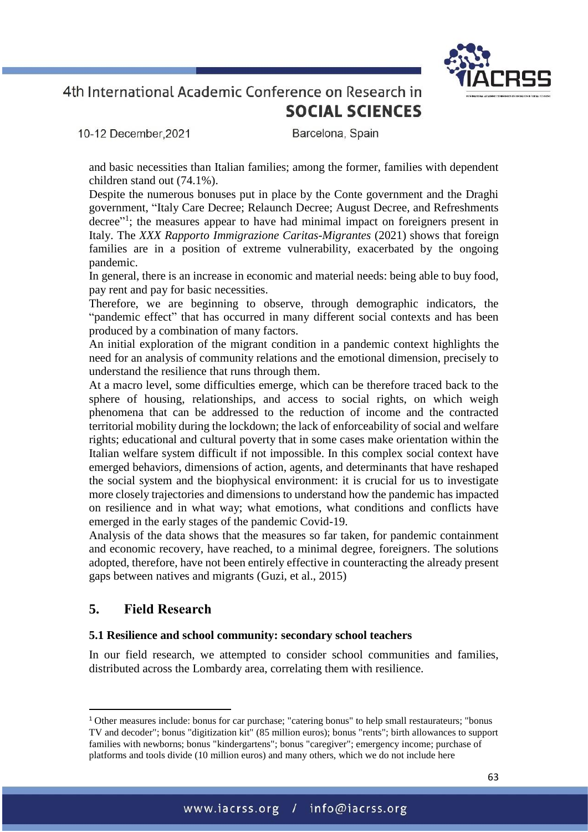10-12 December.2021

Barcelona, Spain

and basic necessities than Italian families; among the former, families with dependent children stand out (74.1%).

Despite the numerous bonuses put in place by the Conte government and the Draghi government, "Italy Care Decree; Relaunch Decree; August Decree, and Refreshments decree"<sup>1</sup>; the measures appear to have had minimal impact on foreigners present in Italy. The *XXX Rapporto Immigrazione Caritas-Migrantes* (2021) shows that foreign families are in a position of extreme vulnerability, exacerbated by the ongoing pandemic.

In general, there is an increase in economic and material needs: being able to buy food, pay rent and pay for basic necessities.

Therefore, we are beginning to observe, through demographic indicators, the "pandemic effect" that has occurred in many different social contexts and has been produced by a combination of many factors.

An initial exploration of the migrant condition in a pandemic context highlights the need for an analysis of community relations and the emotional dimension, precisely to understand the resilience that runs through them.

At a macro level, some difficulties emerge, which can be therefore traced back to the sphere of housing, relationships, and access to social rights, on which weigh phenomena that can be addressed to the reduction of income and the contracted territorial mobility during the lockdown; the lack of enforceability of social and welfare rights; educational and cultural poverty that in some cases make orientation within the Italian welfare system difficult if not impossible. In this complex social context have emerged behaviors, dimensions of action, agents, and determinants that have reshaped the social system and the biophysical environment: it is crucial for us to investigate more closely trajectories and dimensions to understand how the pandemic has impacted on resilience and in what way; what emotions, what conditions and conflicts have emerged in the early stages of the pandemic Covid-19.

Analysis of the data shows that the measures so far taken, for pandemic containment and economic recovery, have reached, to a minimal degree, foreigners. The solutions adopted, therefore, have not been entirely effective in counteracting the already present gaps between natives and migrants (Guzi, et al., 2015)

## **5. Field Research**

 $\overline{a}$ 

### **5.1 Resilience and school community: secondary school teachers**

In our field research, we attempted to consider school communities and families, distributed across the Lombardy area, correlating them with resilience.

<sup>1</sup> Other measures include: bonus for car purchase; "catering bonus" to help small restaurateurs; "bonus TV and decoder"; bonus "digitization kit" (85 million euros); bonus "rents"; birth allowances to support families with newborns; bonus "kindergartens"; bonus "caregiver"; emergency income; purchase of platforms and tools divide (10 million euros) and many others, which we do not include here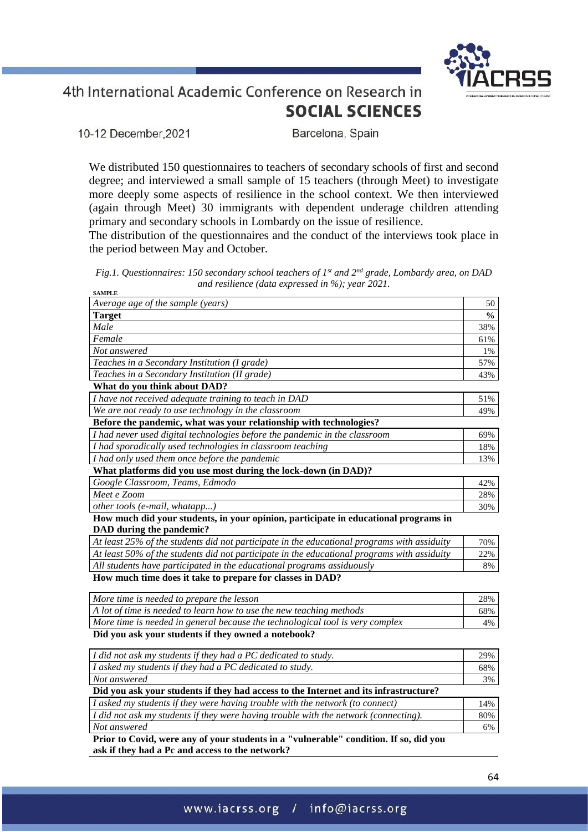10-12 December, 2021

Barcelona, Spain

We distributed 150 questionnaires to teachers of secondary schools of first and second degree; and interviewed a small sample of 15 teachers (through Meet) to investigate more deeply some aspects of resilience in the school context. We then interviewed (again through Meet) 30 immigrants with dependent underage children attending primary and secondary schools in Lombardy on the issue of resilience.

The distribution of the questionnaires and the conduct of the interviews took place in the period between May and October.

*Fig.1. Questionnaires: 150 secondary school teachers of 1st and 2nd grade, Lombardy area, on DAD and resilience (data expressed in %); year 2021.* **SAMPLE**

| Average age of the sample (years)                                                           | 50            |
|---------------------------------------------------------------------------------------------|---------------|
| <b>Target</b>                                                                               | $\frac{0}{0}$ |
| Male                                                                                        | 38%           |
| Female                                                                                      | 61%           |
| Not answered                                                                                | 1%            |
| Teaches in a Secondary Institution (I grade)                                                | 57%           |
| Teaches in a Secondary Institution (II grade)                                               | 43%           |
| What do you think about DAD?                                                                |               |
| I have not received adequate training to teach in DAD                                       | 51%           |
| We are not ready to use technology in the classroom                                         | 49%           |
| Before the pandemic, what was your relationship with technologies?                          |               |
| I had never used digital technologies before the pandemic in the classroom                  | 69%           |
| I had sporadically used technologies in classroom teaching                                  | 18%           |
| I had only used them once before the pandemic                                               | 13%           |
| What platforms did you use most during the lock-down (in DAD)?                              |               |
| Google Classroom, Teams, Edmodo                                                             | 42%           |
| Meet e Zoom                                                                                 | 28%           |
| other tools (e-mail, whatapp)                                                               | 30%           |
| How much did your students, in your opinion, participate in educational programs in         |               |
| DAD during the pandemic?                                                                    |               |
| At least 25% of the students did not participate in the educational programs with assiduity | 70%           |
| At least 50% of the students did not participate in the educational programs with assiduity | 22%           |
| All students have participated in the educational programs assiduously                      | 8%            |
| How much time does it take to prepare for classes in DAD?                                   |               |
| More time is needed to prepare the lesson                                                   | 28%           |
| A lot of time is needed to learn how to use the new teaching methods                        | 68%           |
| More time is needed in general because the technological tool is very complex               | 4%            |
| Did you ask your students if they owned a notebook?                                         |               |

*I did not ask my students if they had a PC dedicated to study.* 29% *I asked my students if they had a PC dedicated to study.* 68% *Not answered* 3% **Did you ask your students if they had access to the Internet and its infrastructure?** *I asked my students if they were having trouble with the network (to connect)* 14% *I did not ask my students if they were having trouble with the network (connecting).* 80% *Not answered* 6% **Prior to Covid, were any of your students in a "vulnerable" condition. If so, did you** 

**ask if they had a Pc and access to the network?**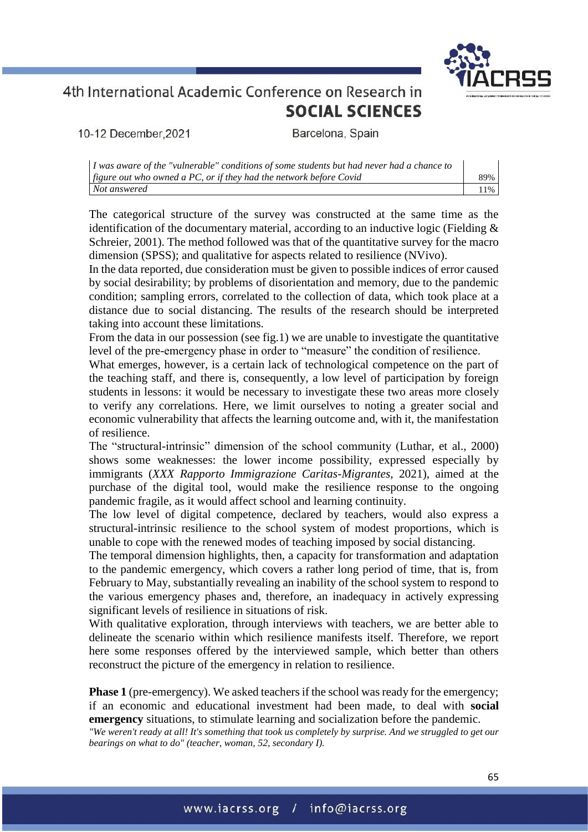

10-12 December, 2021

Barcelona, Spain

| $\mid$ I was aware of the "vulnerable" conditions of some students but had never had a chance to |     |
|--------------------------------------------------------------------------------------------------|-----|
| $\int$ figure out who owned a PC, or if they had the network before Covid                        | 89% |
| Not answered                                                                                     | 11% |

The categorical structure of the survey was constructed at the same time as the identification of the documentary material, according to an inductive logic (Fielding & Schreier, 2001). The method followed was that of the quantitative survey for the macro dimension (SPSS); and qualitative for aspects related to resilience (NVivo).

In the data reported, due consideration must be given to possible indices of error caused by social desirability; by problems of disorientation and memory, due to the pandemic condition; sampling errors, correlated to the collection of data, which took place at a distance due to social distancing. The results of the research should be interpreted taking into account these limitations.

From the data in our possession (see fig.1) we are unable to investigate the quantitative level of the pre-emergency phase in order to "measure" the condition of resilience.

What emerges, however, is a certain lack of technological competence on the part of the teaching staff, and there is, consequently, a low level of participation by foreign students in lessons: it would be necessary to investigate these two areas more closely to verify any correlations. Here, we limit ourselves to noting a greater social and economic vulnerability that affects the learning outcome and, with it, the manifestation of resilience.

The "structural-intrinsic" dimension of the school community (Luthar, et al., 2000) shows some weaknesses: the lower income possibility, expressed especially by immigrants (*XXX Rapporto Immigrazione Caritas-Migrantes*, 2021), aimed at the purchase of the digital tool, would make the resilience response to the ongoing pandemic fragile, as it would affect school and learning continuity.

The low level of digital competence, declared by teachers, would also express a structural-intrinsic resilience to the school system of modest proportions, which is unable to cope with the renewed modes of teaching imposed by social distancing.

The temporal dimension highlights, then, a capacity for transformation and adaptation to the pandemic emergency, which covers a rather long period of time, that is, from February to May, substantially revealing an inability of the school system to respond to the various emergency phases and, therefore, an inadequacy in actively expressing significant levels of resilience in situations of risk.

With qualitative exploration, through interviews with teachers, we are better able to delineate the scenario within which resilience manifests itself. Therefore, we report here some responses offered by the interviewed sample, which better than others reconstruct the picture of the emergency in relation to resilience.

**Phase 1** (pre-emergency). We asked teachers if the school was ready for the emergency; if an economic and educational investment had been made, to deal with **social emergency** situations, to stimulate learning and socialization before the pandemic.

*"We weren't ready at all! It's something that took us completely by surprise. And we struggled to get our bearings on what to do" (teacher, woman, 52, secondary I).*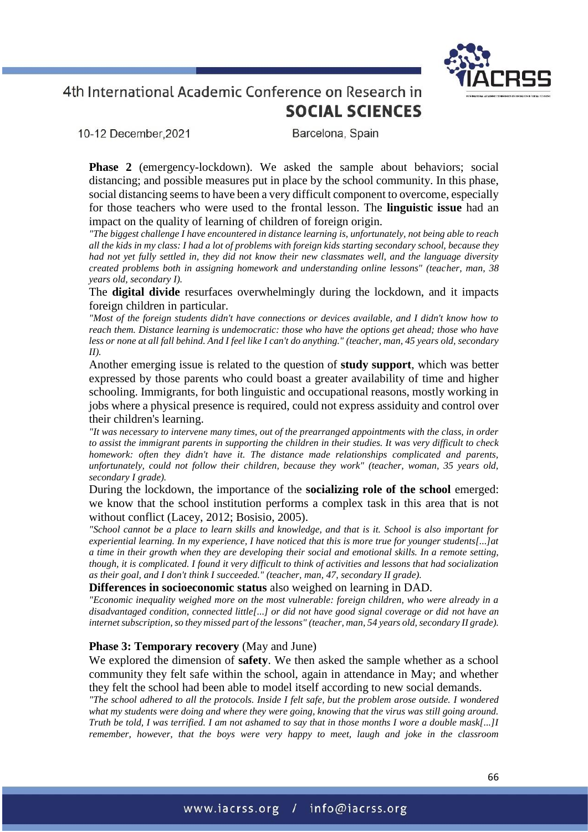

10-12 December, 2021

Barcelona, Spain

**Phase 2** (emergency-lockdown). We asked the sample about behaviors; social distancing; and possible measures put in place by the school community. In this phase, social distancing seems to have been a very difficult component to overcome, especially for those teachers who were used to the frontal lesson. The **linguistic issue** had an impact on the quality of learning of children of foreign origin.

*"The biggest challenge I have encountered in distance learning is, unfortunately, not being able to reach all the kids in my class: I had a lot of problems with foreign kids starting secondary school, because they had not yet fully settled in, they did not know their new classmates well, and the language diversity created problems both in assigning homework and understanding online lessons" (teacher, man, 38 years old, secondary I).*

The **digital divide** resurfaces overwhelmingly during the lockdown, and it impacts foreign children in particular.

*"Most of the foreign students didn't have connections or devices available, and I didn't know how to reach them. Distance learning is undemocratic: those who have the options get ahead; those who have less or none at all fall behind. And I feel like I can't do anything." (teacher, man, 45 years old, secondary II).*

Another emerging issue is related to the question of **study support**, which was better expressed by those parents who could boast a greater availability of time and higher schooling. Immigrants, for both linguistic and occupational reasons, mostly working in jobs where a physical presence is required, could not express assiduity and control over their children's learning.

*"It was necessary to intervene many times, out of the prearranged appointments with the class, in order to assist the immigrant parents in supporting the children in their studies. It was very difficult to check homework: often they didn't have it. The distance made relationships complicated and parents, unfortunately, could not follow their children, because they work" (teacher, woman, 35 years old, secondary I grade).*

During the lockdown, the importance of the **socializing role of the school** emerged: we know that the school institution performs a complex task in this area that is not without conflict (Lacey, 2012; Bosisio, 2005).

*"School cannot be a place to learn skills and knowledge, and that is it. School is also important for experiential learning. In my experience, I have noticed that this is more true for younger students[...]at a time in their growth when they are developing their social and emotional skills. In a remote setting, though, it is complicated. I found it very difficult to think of activities and lessons that had socialization as their goal, and I don't think I succeeded." (teacher, man, 47, secondary II grade).*

**Differences in socioeconomic status** also weighed on learning in DAD.

*"Economic inequality weighed more on the most vulnerable: foreign children, who were already in a disadvantaged condition, connected little[...] or did not have good signal coverage or did not have an internet subscription, so they missed part of the lessons" (teacher, man, 54 years old, secondary II grade).*

### **Phase 3: Temporary recovery** (May and June)

We explored the dimension of **safety**. We then asked the sample whether as a school community they felt safe within the school, again in attendance in May; and whether they felt the school had been able to model itself according to new social demands.

*"The school adhered to all the protocols. Inside I felt safe, but the problem arose outside. I wondered what my students were doing and where they were going, knowing that the virus was still going around. Truth be told, I was terrified. I am not ashamed to say that in those months I wore a double mask[...]I remember, however, that the boys were very happy to meet, laugh and joke in the classroom*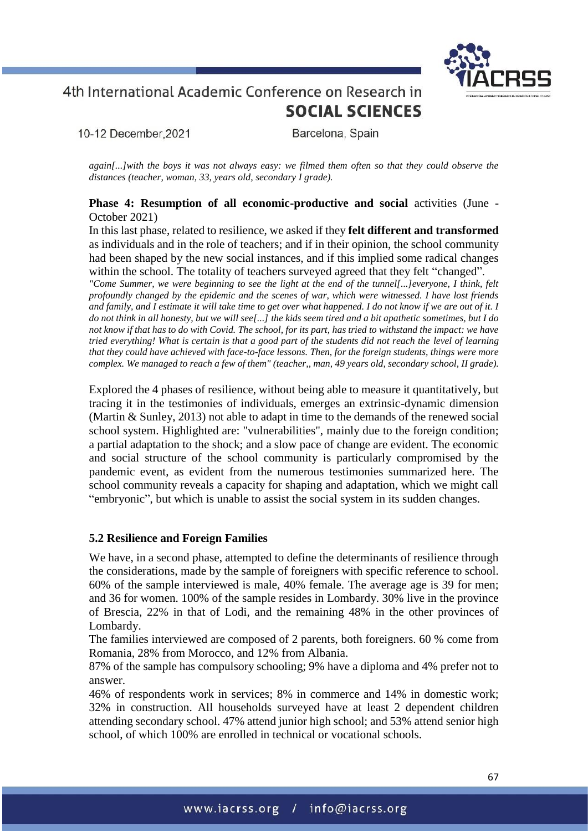10-12 December.2021

Barcelona, Spain

*again[...]with the boys it was not always easy: we filmed them often so that they could observe the distances (teacher, woman, 33, years old, secondary I grade).*

**Phase 4: Resumption of all economic-productive and social activities (June -**October 2021)

In this last phase, related to resilience, we asked if they **felt different and transformed** as individuals and in the role of teachers; and if in their opinion, the school community had been shaped by the new social instances, and if this implied some radical changes within the school. The totality of teachers surveyed agreed that they felt "changed".

*"Come Summer, we were beginning to see the light at the end of the tunnel[...]everyone, I think, felt profoundly changed by the epidemic and the scenes of war, which were witnessed. I have lost friends and family, and I estimate it will take time to get over what happened. I do not know if we are out of it. I do not think in all honesty, but we will see[...] the kids seem tired and a bit apathetic sometimes, but I do not know if that has to do with Covid. The school, for its part, has tried to withstand the impact: we have tried everything! What is certain is that a good part of the students did not reach the level of learning that they could have achieved with face-to-face lessons. Then, for the foreign students, things were more complex. We managed to reach a few of them" (teacher,, man, 49 years old, secondary school, II grade).*

Explored the 4 phases of resilience, without being able to measure it quantitatively, but tracing it in the testimonies of individuals, emerges an extrinsic-dynamic dimension (Martin & Sunley, 2013) not able to adapt in time to the demands of the renewed social school system. Highlighted are: "vulnerabilities", mainly due to the foreign condition; a partial adaptation to the shock; and a slow pace of change are evident. The economic and social structure of the school community is particularly compromised by the pandemic event, as evident from the numerous testimonies summarized here. The school community reveals a capacity for shaping and adaptation, which we might call "embryonic", but which is unable to assist the social system in its sudden changes.

### **5.2 Resilience and Foreign Families**

We have, in a second phase, attempted to define the determinants of resilience through the considerations, made by the sample of foreigners with specific reference to school. 60% of the sample interviewed is male, 40% female. The average age is 39 for men; and 36 for women. 100% of the sample resides in Lombardy. 30% live in the province of Brescia, 22% in that of Lodi, and the remaining 48% in the other provinces of Lombardy.

The families interviewed are composed of 2 parents, both foreigners. 60 % come from Romania, 28% from Morocco, and 12% from Albania.

87% of the sample has compulsory schooling; 9% have a diploma and 4% prefer not to answer.

46% of respondents work in services; 8% in commerce and 14% in domestic work; 32% in construction. All households surveyed have at least 2 dependent children attending secondary school. 47% attend junior high school; and 53% attend senior high school, of which 100% are enrolled in technical or vocational schools.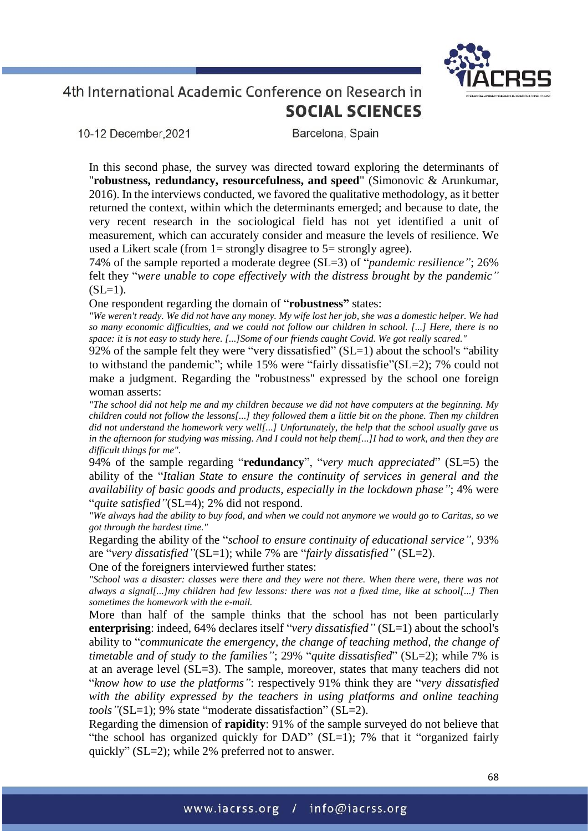10-12 December.2021

Barcelona, Spain

In this second phase, the survey was directed toward exploring the determinants of "**robustness, redundancy, resourcefulness, and speed**" (Simonovic & Arunkumar, 2016). In the interviews conducted, we favored the qualitative methodology, as it better returned the context, within which the determinants emerged; and because to date, the very recent research in the sociological field has not yet identified a unit of measurement, which can accurately consider and measure the levels of resilience. We used a Likert scale (from  $1=$  strongly disagree to  $5=$  strongly agree).

74% of the sample reported a moderate degree (SL=3) of "*pandemic resilience"*; 26% felt they "*were unable to cope effectively with the distress brought by the pandemic"*  $(SL=1)$ .

One respondent regarding the domain of "**robustness"** states:

*"We weren't ready. We did not have any money. My wife lost her job, she was a domestic helper. We had so many economic difficulties, and we could not follow our children in school. [...] Here, there is no space: it is not easy to study here. [...]Some of our friends caught Covid. We got really scared."*

92% of the sample felt they were "very dissatisfied"  $(SL=1)$  about the school's "ability to withstand the pandemic"; while 15% were "fairly dissatisfie"(SL=2); 7% could not make a judgment. Regarding the "robustness" expressed by the school one foreign woman asserts:

*"The school did not help me and my children because we did not have computers at the beginning. My children could not follow the lessons[...] they followed them a little bit on the phone. Then my children did not understand the homework very well[...] Unfortunately, the help that the school usually gave us in the afternoon for studying was missing. And I could not help them[...]I had to work, and then they are difficult things for me".*

94% of the sample regarding "**redundancy**", "*very much appreciated*" (SL=5) the ability of the "*Italian State to ensure the continuity of services in general and the availability of basic goods and products, especially in the lockdown phase"*; 4% were "*quite satisfied"*(SL=4); 2% did not respond.

*"We always had the ability to buy food, and when we could not anymore we would go to Caritas, so we got through the hardest time."*

Regarding the ability of the "*school to ensure continuity of educational service"*, 93% are "*very dissatisfied"*(SL=1); while 7% are "*fairly dissatisfied"* (SL=2).

One of the foreigners interviewed further states:

*"School was a disaster: classes were there and they were not there. When there were, there was not always a signal[...]my children had few lessons: there was not a fixed time, like at school[...] Then sometimes the homework with the e-mail.*

More than half of the sample thinks that the school has not been particularly **enterprising**: indeed, 64% declares itself "*very dissatisfied"* (SL=1) about the school's ability to "*communicate the emergency, the change of teaching method, the change of timetable and of study to the families*"; 29% "*quite dissatisfied*" (SL=2); while 7% is at an average level (SL=3). The sample, moreover, states that many teachers did not "*know how to use the platforms"*: respectively 91% think they are "*very dissatisfied with the ability expressed by the teachers in using platforms and online teaching tools"*(SL=1); 9% state "moderate dissatisfaction" (SL=2).

Regarding the dimension of **rapidity**: 91% of the sample surveyed do not believe that "the school has organized quickly for DAD" (SL=1); 7% that it "organized fairly quickly" (SL=2); while 2% preferred not to answer.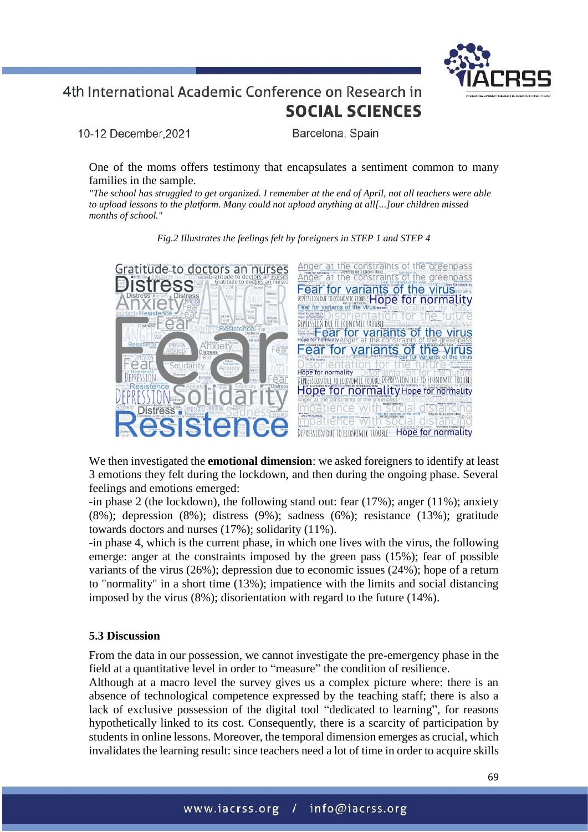

10-12 December, 2021

Barcelona, Spain

One of the moms offers testimony that encapsulates a sentiment common to many families in the sample.

*"The school has struggled to get organized. I remember at the end of April, not all teachers were able to upload lessons to the platform. Many could not upload anything at all[...]our children missed months of school."*



*Fig.2 Illustrates the feelings felt by foreigners in STEP 1 and STEP 4*

We then investigated the **emotional dimension**: we asked foreigners to identify at least 3 emotions they felt during the lockdown, and then during the ongoing phase. Several feelings and emotions emerged:

-in phase 2 (the lockdown), the following stand out: fear (17%); anger (11%); anxiety (8%); depression (8%); distress (9%); sadness (6%); resistance (13%); gratitude towards doctors and nurses (17%); solidarity (11%).

-in phase 4, which is the current phase, in which one lives with the virus, the following emerge: anger at the constraints imposed by the green pass (15%); fear of possible variants of the virus (26%); depression due to economic issues (24%); hope of a return to "normality" in a short time (13%); impatience with the limits and social distancing imposed by the virus (8%); disorientation with regard to the future (14%).

### **5.3 Discussion**

From the data in our possession, we cannot investigate the pre-emergency phase in the field at a quantitative level in order to "measure" the condition of resilience.

Although at a macro level the survey gives us a complex picture where: there is an absence of technological competence expressed by the teaching staff; there is also a lack of exclusive possession of the digital tool "dedicated to learning", for reasons hypothetically linked to its cost. Consequently, there is a scarcity of participation by students in online lessons. Moreover, the temporal dimension emerges as crucial, which invalidates the learning result: since teachers need a lot of time in order to acquire skills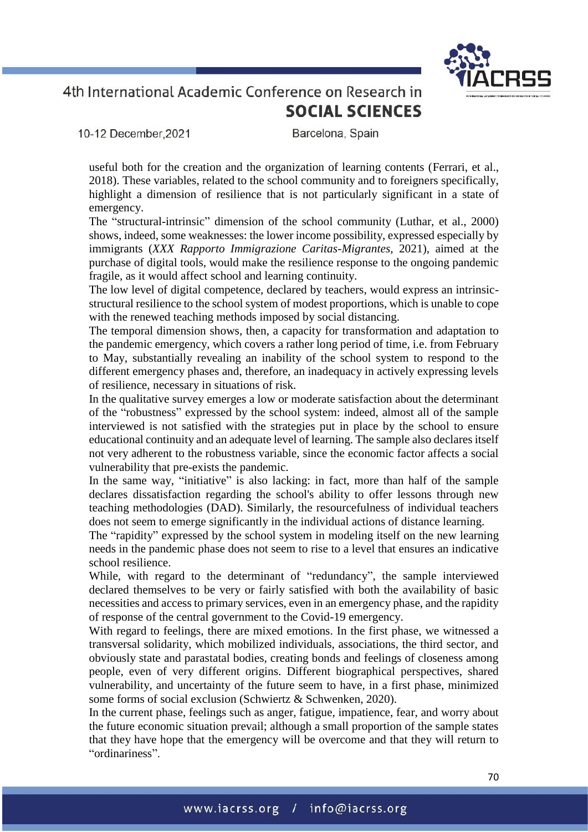10-12 December.2021

Barcelona, Spain

useful both for the creation and the organization of learning contents (Ferrari, et al., 2018). These variables, related to the school community and to foreigners specifically, highlight a dimension of resilience that is not particularly significant in a state of emergency.

The "structural-intrinsic" dimension of the school community (Luthar, et al., 2000) shows, indeed, some weaknesses: the lower income possibility, expressed especially by immigrants (*XXX Rapporto Immigrazione Caritas-Migrantes*, 2021), aimed at the purchase of digital tools, would make the resilience response to the ongoing pandemic fragile, as it would affect school and learning continuity.

The low level of digital competence, declared by teachers, would express an intrinsicstructural resilience to the school system of modest proportions, which is unable to cope with the renewed teaching methods imposed by social distancing.

The temporal dimension shows, then, a capacity for transformation and adaptation to the pandemic emergency, which covers a rather long period of time, i.e. from February to May, substantially revealing an inability of the school system to respond to the different emergency phases and, therefore, an inadequacy in actively expressing levels of resilience, necessary in situations of risk.

In the qualitative survey emerges a low or moderate satisfaction about the determinant of the "robustness" expressed by the school system: indeed, almost all of the sample interviewed is not satisfied with the strategies put in place by the school to ensure educational continuity and an adequate level of learning. The sample also declares itself not very adherent to the robustness variable, since the economic factor affects a social vulnerability that pre-exists the pandemic.

In the same way, "initiative" is also lacking: in fact, more than half of the sample declares dissatisfaction regarding the school's ability to offer lessons through new teaching methodologies (DAD). Similarly, the resourcefulness of individual teachers does not seem to emerge significantly in the individual actions of distance learning.

The "rapidity" expressed by the school system in modeling itself on the new learning needs in the pandemic phase does not seem to rise to a level that ensures an indicative school resilience.

While, with regard to the determinant of "redundancy", the sample interviewed declared themselves to be very or fairly satisfied with both the availability of basic necessities and access to primary services, even in an emergency phase, and the rapidity of response of the central government to the Covid-19 emergency.

With regard to feelings, there are mixed emotions. In the first phase, we witnessed a transversal solidarity, which mobilized individuals, associations, the third sector, and obviously state and parastatal bodies, creating bonds and feelings of closeness among people, even of very different origins. Different biographical perspectives, shared vulnerability, and uncertainty of the future seem to have, in a first phase, minimized some forms of social exclusion (Schwiertz & Schwenken, 2020).

In the current phase, feelings such as anger, fatigue, impatience, fear, and worry about the future economic situation prevail; although a small proportion of the sample states that they have hope that the emergency will be overcome and that they will return to "ordinariness".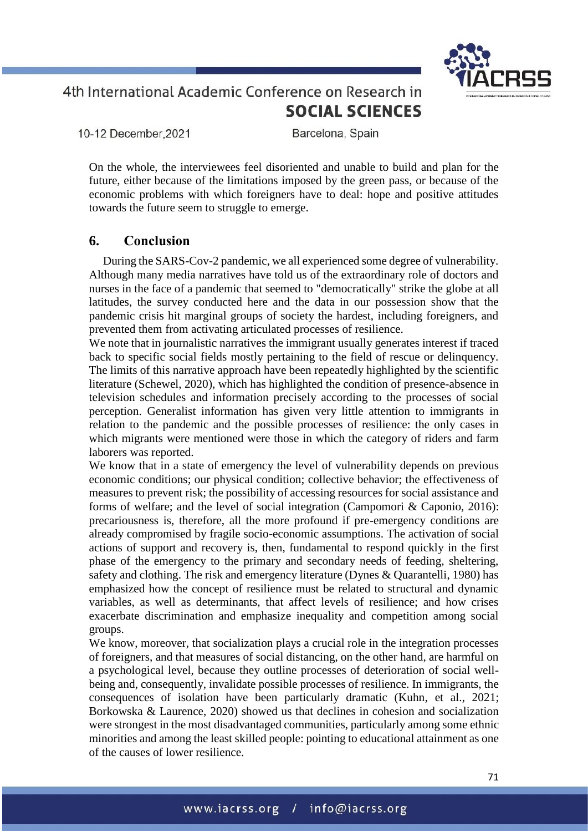10-12 December, 2021

Barcelona, Spain

On the whole, the interviewees feel disoriented and unable to build and plan for the future, either because of the limitations imposed by the green pass, or because of the economic problems with which foreigners have to deal: hope and positive attitudes towards the future seem to struggle to emerge.

## **6. Conclusion**

During the SARS-Cov-2 pandemic, we all experienced some degree of vulnerability. Although many media narratives have told us of the extraordinary role of doctors and nurses in the face of a pandemic that seemed to "democratically" strike the globe at all latitudes, the survey conducted here and the data in our possession show that the pandemic crisis hit marginal groups of society the hardest, including foreigners, and prevented them from activating articulated processes of resilience.

We note that in journalistic narratives the immigrant usually generates interest if traced back to specific social fields mostly pertaining to the field of rescue or delinquency. The limits of this narrative approach have been repeatedly highlighted by the scientific literature (Schewel, 2020), which has highlighted the condition of presence-absence in television schedules and information precisely according to the processes of social perception. Generalist information has given very little attention to immigrants in relation to the pandemic and the possible processes of resilience: the only cases in which migrants were mentioned were those in which the category of riders and farm laborers was reported.

We know that in a state of emergency the level of vulnerability depends on previous economic conditions; our physical condition; collective behavior; the effectiveness of measures to prevent risk; the possibility of accessing resources for social assistance and forms of welfare; and the level of social integration (Campomori & Caponio, 2016): precariousness is, therefore, all the more profound if pre-emergency conditions are already compromised by fragile socio-economic assumptions. The activation of social actions of support and recovery is, then, fundamental to respond quickly in the first phase of the emergency to the primary and secondary needs of feeding, sheltering, safety and clothing. The risk and emergency literature (Dynes & Quarantelli, 1980) has emphasized how the concept of resilience must be related to structural and dynamic variables, as well as determinants, that affect levels of resilience; and how crises exacerbate discrimination and emphasize inequality and competition among social groups.

We know, moreover, that socialization plays a crucial role in the integration processes of foreigners, and that measures of social distancing, on the other hand, are harmful on a psychological level, because they outline processes of deterioration of social wellbeing and, consequently, invalidate possible processes of resilience. In immigrants, the consequences of isolation have been particularly dramatic (Kuhn, et al., 2021; Borkowska & Laurence, 2020) showed us that declines in cohesion and socialization were strongest in the most disadvantaged communities, particularly among some ethnic minorities and among the least skilled people: pointing to educational attainment as one of the causes of lower resilience.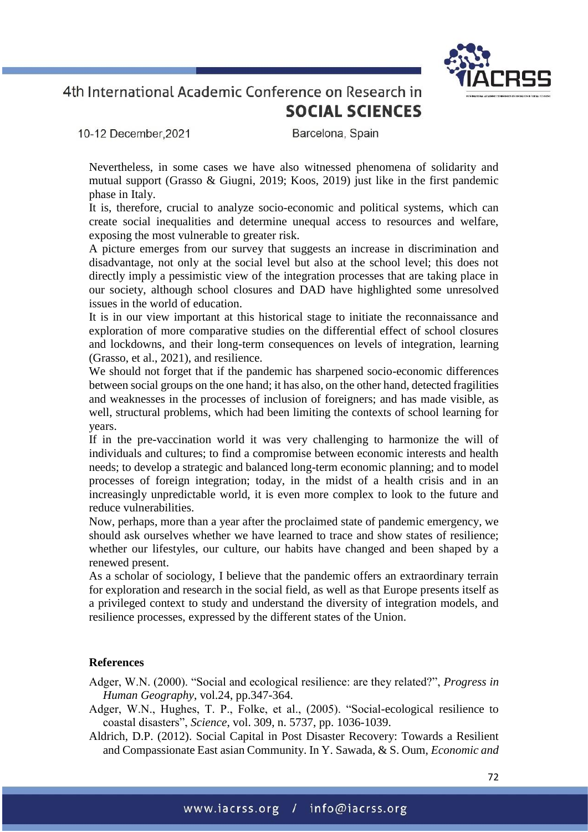10-12 December.2021

Barcelona, Spain

Nevertheless, in some cases we have also witnessed phenomena of solidarity and mutual support (Grasso & Giugni, 2019; Koos, 2019) just like in the first pandemic phase in Italy.

It is, therefore, crucial to analyze socio-economic and political systems, which can create social inequalities and determine unequal access to resources and welfare, exposing the most vulnerable to greater risk.

A picture emerges from our survey that suggests an increase in discrimination and disadvantage, not only at the social level but also at the school level; this does not directly imply a pessimistic view of the integration processes that are taking place in our society, although school closures and DAD have highlighted some unresolved issues in the world of education.

It is in our view important at this historical stage to initiate the reconnaissance and exploration of more comparative studies on the differential effect of school closures and lockdowns, and their long-term consequences on levels of integration, learning (Grasso, et al., 2021), and resilience.

We should not forget that if the pandemic has sharpened socio-economic differences between social groups on the one hand; it has also, on the other hand, detected fragilities and weaknesses in the processes of inclusion of foreigners; and has made visible, as well, structural problems, which had been limiting the contexts of school learning for years.

If in the pre-vaccination world it was very challenging to harmonize the will of individuals and cultures; to find a compromise between economic interests and health needs; to develop a strategic and balanced long-term economic planning; and to model processes of foreign integration; today, in the midst of a health crisis and in an increasingly unpredictable world, it is even more complex to look to the future and reduce vulnerabilities.

Now, perhaps, more than a year after the proclaimed state of pandemic emergency, we should ask ourselves whether we have learned to trace and show states of resilience; whether our lifestyles, our culture, our habits have changed and been shaped by a renewed present.

As a scholar of sociology, I believe that the pandemic offers an extraordinary terrain for exploration and research in the social field, as well as that Europe presents itself as a privileged context to study and understand the diversity of integration models, and resilience processes, expressed by the different states of the Union.

### **References**

Adger, W.N. (2000). "Social and ecological resilience: are they related?", *Progress in Human Geography*, vol.24, pp.347-364.

- Adger, W.N., Hughes, T. P., Folke, et al., (2005). "Social-ecological resilience to coastal disasters", *Science*, vol. 309, n. 5737, pp. 1036-1039.
- Aldrich, D.P. (2012). Social Capital in Post Disaster Recovery: Towards a Resilient and Compassionate East asian Community. In Y. Sawada, & S. Oum, *Economic and*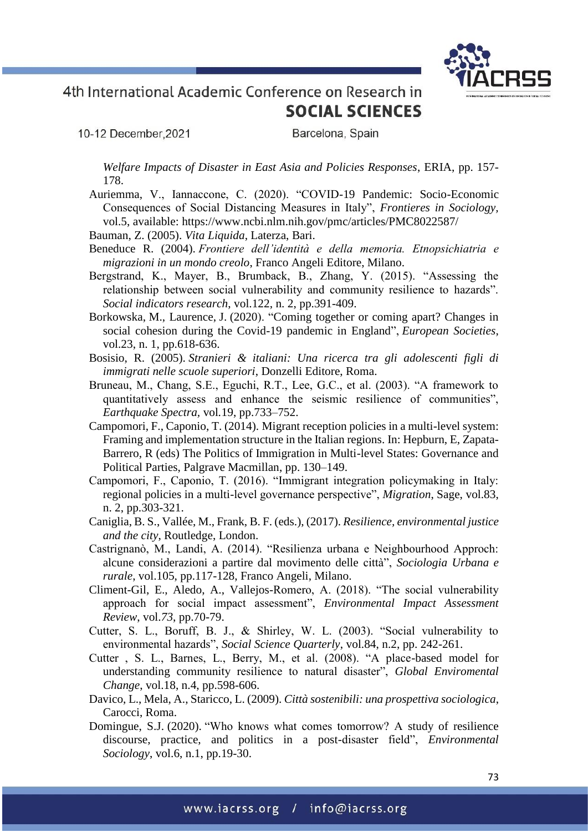10-12 December, 2021

Barcelona, Spain

*Welfare Impacts of Disaster in East Asia and Policies Responses*, ERIA, pp. 157- 178.

- Auriemma, V., Iannaccone, C. (2020). "COVID-19 Pandemic: Socio-Economic Consequences of Social Distancing Measures in Italy", *Frontieres in Sociology,*  vol.5, available:<https://www.ncbi.nlm.nih.gov/pmc/articles/PMC8022587/>
- Bauman, Z. (2005). *Vita Liquida*, Laterza, Bari.
- Beneduce R. (2004). *Frontiere dell'identità e della memoria. Etnopsichiatria e migrazioni in un mondo creolo*, Franco Angeli Editore, Milano.
- Bergstrand, K., Mayer, B., Brumback, B., Zhang, Y. (2015). "Assessing the relationship between social vulnerability and community resilience to hazards". *Social indicators research*, vol.122, n. 2, pp.391-409.
- Borkowska, M., Laurence, J. (2020). "Coming together or coming apart? Changes in social cohesion during the Covid-19 pandemic in England", *European Societies*, vol.23, n. 1, pp.618-636.
- Bosisio, R. (2005). *Stranieri & italiani: Una ricerca tra gli adolescenti figli di immigrati nelle scuole superiori*, Donzelli Editore, Roma.
- Bruneau, M., Chang, S.E., Eguchi, R.T., Lee, G.C., et al. (2003). "A framework to quantitatively assess and enhance the seismic resilience of communities", *Earthquake Spectra,* vol*.*19, pp.733–752.
- Campomori, F., Caponio, T. (2014). Migrant reception policies in a multi-level system: Framing and implementation structure in the Italian regions. In: Hepburn, E, Zapata-Barrero, R (eds) The Politics of Immigration in Multi-level States: Governance and Political Parties, Palgrave Macmillan, pp. 130–149.
- Campomori, F., Caponio, T. (2016). "Immigrant integration policymaking in Italy: regional policies in a multi-level governance perspective", *Migration*, Sage, vol.83, n. 2, pp.303-321.
- Caniglia, B. S., Vallée, M., Frank, B. F. (eds.), (2017). *Resilience, environmental justice and the city*, Routledge, London.
- Castrignanò, M., Landi, A. (2014). "Resilienza urbana e Neighbourhood Approch: alcune considerazioni a partire dal movimento delle città", *Sociologia Urbana e rurale*, vol.105, pp.117-128, Franco Angeli, Milano.
- Climent-Gil, E., Aledo, A., Vallejos-Romero, A. (2018). "The social vulnerability approach for social impact assessment", *Environmental Impact Assessment Review*, vol.*73*, pp.70-79.
- Cutter, S. L., Boruff, B. J., & Shirley, W. L. (2003). "Social vulnerability to environmental hazards", *Social Science Quarterly*, vol.84, n.2, pp. 242-261.
- Cutter , S. L., Barnes, L., Berry, M., et al. (2008). "A place-based model for understanding community resilience to natural disaster", *Global Enviromental Change*, vol.18, n.4, pp.598-606.
- Davico, L., Mela, A., Staricco, L. (2009). *Città sostenibili: una prospettiva sociologica*, Carocci, Roma.
- Domingue, S.J. (2020). "Who knows what comes tomorrow? A study of resilience discourse, practice, and politics in a post-disaster field", *Environmental Sociology*, vol.6, n.1, pp.19-30.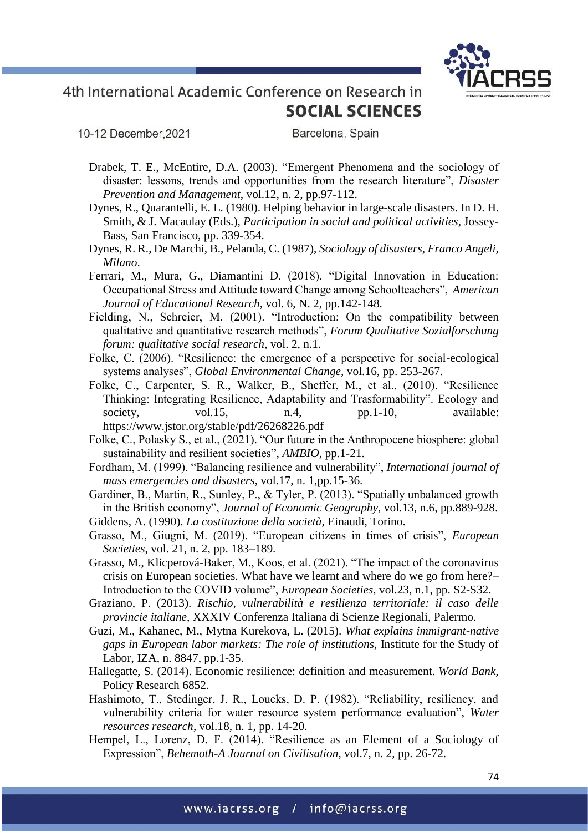

10-12 December, 2021

- Drabek, T. E., McEntire, D.A. (2003). "Emergent Phenomena and the sociology of disaster: lessons, trends and opportunities from the research literature", *Disaster Prevention and Management*, vol.12, n. 2, pp.97-112.
- Dynes, R., Quarantelli, E. L. (1980). Helping behavior in large-scale disasters. In D. H. Smith, & J. Macaulay (Eds.), *Participation in social and political activities*, Jossey-Bass, San Francisco, pp. 339-354.
- Dynes, R. R., De Marchi, B., Pelanda, C. (1987), *Sociology of disasters*, *Franco Angeli, Milano*.
- Ferrari, M., Mura, G., Diamantini D. (2018). "Digital Innovation in Education: Occupational Stress and Attitude toward Change among Schoolteachers", *American Journal of Educational Research,* vol. 6, N. 2, pp.142-148.
- Fielding, N., Schreier, M. (2001). "Introduction: On the compatibility between qualitative and quantitative research methods", *Forum Qualitative Sozialforschung forum: qualitative social research*, vol. 2, n.1.
- Folke, C. (2006). "Resilience: the emergence of a perspective for social-ecological systems analyses", *Global Environmental Change*, vol.16, pp. 253-267.
- Folke, C., Carpenter, S. R., Walker, B., Sheffer, M., et al., (2010). "Resilience Thinking: Integrating Resilience, Adaptability and Trasformability". Ecology and society, vol.15, n.4, pp.1-10, available: https://www.jstor.org/stable/pdf/26268226.pdf
- Folke, C., Polasky S., et al., (2021). "Our future in the Anthropocene biosphere: global sustainability and resilient societies", *AMBIO*, pp.1-21.
- Fordham, M. (1999). "Balancing resilience and vulnerability", *International journal of mass emergencies and disasters*, vol.17, n. 1,pp.15-36.
- Gardiner, B., Martin, R., Sunley, P., & Tyler, P. (2013). "Spatially unbalanced growth in the British economy", *Journal of Economic Geography*, vol.13, n.6, pp.889-928.
- Giddens, A. (1990). *La costituzione della società*, Einaudi, Torino.
- Grasso, M., Giugni, M. (2019). "European citizens in times of crisis", *European Societies*, vol. 21, n. 2, pp. 183–189.
- Grasso, M., Klicperová-Baker, M., Koos, et al. (2021). "The impact of the coronavirus crisis on European societies. What have we learnt and where do we go from here?– Introduction to the COVID volume", *European Societies*, vol.23, n.1, pp. S2-S32.
- Graziano, P. (2013). *Rischio, vulnerabilità e resilienza territoriale: il caso delle provincie italiane*, XXXIV Conferenza Italiana di Scienze Regionali, Palermo.
- Guzi, M., Kahanec, M., Mytna Kurekova, L. (2015). *What explains immigrant-native gaps in European labor markets: The role of institutions,* Institute for the Study of Labor, IZA, n. 8847, pp.1-35.
- Hallegatte, S. (2014). Economic resilience: definition and measurement. *World Bank,*  Policy Research 6852.
- Hashimoto, T., Stedinger, J. R., Loucks, D. P. (1982). "Reliability, resiliency, and vulnerability criteria for water resource system performance evaluation", *Water resources research*, vol.18, n. 1, pp. 14-20.
- Hempel, L., Lorenz, D. F. (2014). "Resilience as an Element of a Sociology of Expression", *Behemoth-A Journal on Civilisation*, vol.7, n. 2, pp. 26-72.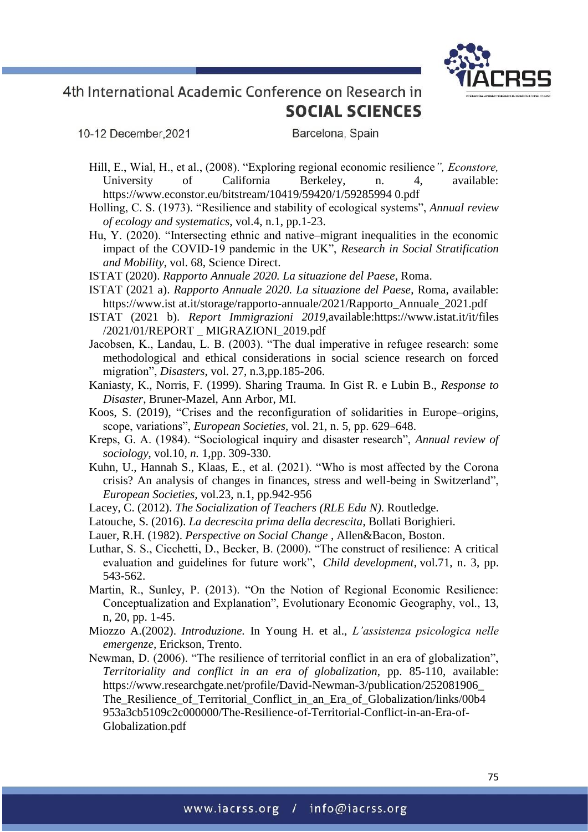

10-12 December, 2021

- Hill, E., Wial, H., et al., (2008). "Exploring regional economic resilience*", Econstore,*  University of California Berkeley, n. 4, available: [https://www.econstor.eu/bitstream/10419/59420/1/59285994 0.pdf](https://www.econstor.eu/bitstream/10419/59420/1/59285994%200.pdf)
- Holling, C. S. (1973). "Resilience and stability of ecological systems", *Annual review of ecology and systematics*, vol.4, n.1, pp.1-23.
- Hu, Y. (2020). "Intersecting ethnic and native–migrant inequalities in the economic impact of the COVID-19 pandemic in the UK", *Research in Social Stratification and Mobility*, vol. 68, Science Direct.
- ISTAT (2020). *Rapporto Annuale 2020. La situazione del Paese*, Roma.
- ISTAT (2021 a). *Rapporto Annuale 2020. La situazione del Paese*, Roma, available: https://www.ist at.it/storage/rapporto-annuale/2021/Rapporto\_Annuale\_2021.pdf
- ISTAT (2021 b). *Report Immigrazioni 2019,*available[:https://www.istat.it/it/files](https://www.istat.it/it/files%20/2021/01/REPORT%20_%20MIGRAZIONI_2019.pdf)  [/2021/01/REPORT \\_ MIGRAZIONI\\_2019.pdf](https://www.istat.it/it/files%20/2021/01/REPORT%20_%20MIGRAZIONI_2019.pdf)
- Jacobsen, K., Landau, L. B. (2003). "The dual imperative in refugee research: some methodological and ethical considerations in social science research on forced migration", *Disasters*, vol. 27, n.3,pp.185-206.
- Kaniasty, K., Norris, F*.* (1999). Sharing Trauma*.* In Gist R. e Lubin B., *Response to Disaster*, Bruner-Mazel, Ann Arbor, MI.
- Koos, S. (2019), "Crises and the reconfiguration of solidarities in Europe–origins, scope, variations", *European Societies*, vol. 21, n. 5, pp. 629–648.
- Kreps, G. A. (1984). "Sociological inquiry and disaster research", *Annual review of sociology*, vol.10*, n.* 1,pp. 309-330.
- Kuhn, U., Hannah S., Klaas, E., et al. (2021). "Who is most affected by the Corona crisis? An analysis of changes in finances, stress and well-being in Switzerland", *European Societies*, vol.23, n.1, pp.942-956
- Lacey, C. (2012). *The Socialization of Teachers (RLE Edu N)*. Routledge.
- Latouche, S. (2016). *La decrescita prima della decrescita*, Bollati Borighieri.
- Lauer, R.H. (1982). *Perspective on Social Change* , Allen&Bacon, Boston.
- Luthar, S. S., Cicchetti, D., Becker, B. (2000). "The construct of resilience: A critical evaluation and guidelines for future work", *Child development*, vol.71, n. 3, pp. 543-562.
- Martin, R., Sunley, P. (2013). "On the Notion of Regional Economic Resilience: Conceptualization and Explanation", Evolutionary Economic Geography, vol., 13, n, 20, pp. 1-45.
- Miozzo A.(2002). *Introduzione.* In Young H. et al., *L'assistenza psicologica nelle emergenze,* Erickson, Trento.
- Newman, D. (2006). "The resilience of territorial conflict in an era of globalization", *Territoriality and conflict in an era of globalization*, pp. 85-110, available: [https://www.researchgate.net/profile/David-Newman-3/publication/252081906\\_](https://www.researchgate.net/profile/David-Newman-3/publication/252081906_%20The_Resilience_of_Territorial_Conflict_in_an_Era_of_Globalization/links/00b4%20953a3cb5109c2c000000/The-Resilience-of-Territorial-Conflict-in-an-Era-of-Globalization.pdf)  The Resilience of Territorial Conflict in an Era of Globalization/links/00b4 [953a3cb5109c2c000000/The-Resilience-of-Territorial-Conflict-in-an-Era-of-](https://www.researchgate.net/profile/David-Newman-3/publication/252081906_%20The_Resilience_of_Territorial_Conflict_in_an_Era_of_Globalization/links/00b4%20953a3cb5109c2c000000/The-Resilience-of-Territorial-Conflict-in-an-Era-of-Globalization.pdf)[Globalization.pdf](https://www.researchgate.net/profile/David-Newman-3/publication/252081906_%20The_Resilience_of_Territorial_Conflict_in_an_Era_of_Globalization/links/00b4%20953a3cb5109c2c000000/The-Resilience-of-Territorial-Conflict-in-an-Era-of-Globalization.pdf)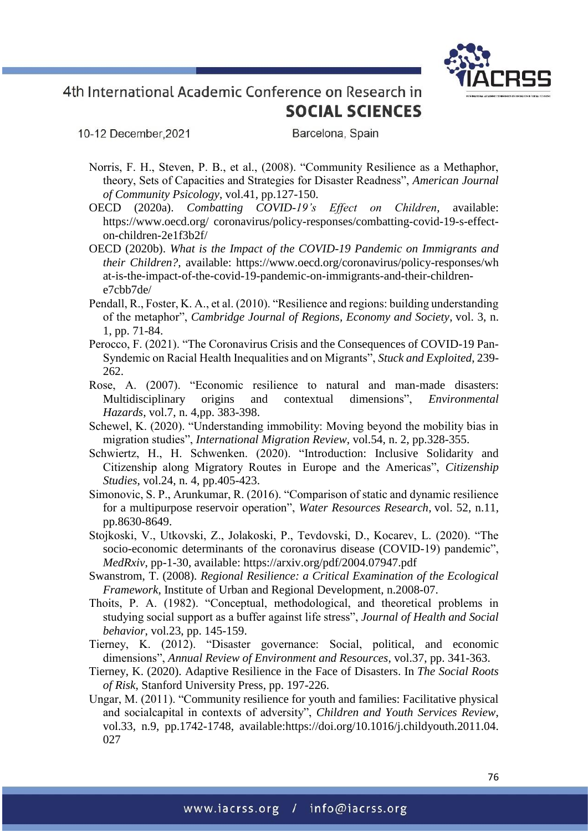

10-12 December, 2021

- Norris, F. H., Steven, P. B., et al., (2008). "Community Resilience as a Methaphor, theory, Sets of Capacities and Strategies for Disaster Readness", *American Journal of Community Psicology*, vol.41, pp.127-150.
- OECD (2020a). *Combatting COVID-19's Effect on Children*, available: [https://www.oecd.org/ coronavirus/policy-responses/combatting-covid-19-s-effect](https://www.oecd.org/%20coronavirus/policy-responses/combatting-covid-19-s-effect-on-children-2e1f3b2f/)[on-children-2e1f3b2f/](https://www.oecd.org/%20coronavirus/policy-responses/combatting-covid-19-s-effect-on-children-2e1f3b2f/)
- OECD (2020b). *What is the Impact of the COVID-19 Pandemic on Immigrants and their Children?*, available: [https://www.oecd.org/coronavirus/policy-responses/wh](https://www.oecd.org/coronavirus/policy-responses/wh%20at-is-the-impact-of-the-covid-19-pandemic-on-immigrants-and-their-children-e7cbb7de/)  [at-is-the-impact-of-the-covid-19-pandemic-on-immigrants-and-their-children](https://www.oecd.org/coronavirus/policy-responses/wh%20at-is-the-impact-of-the-covid-19-pandemic-on-immigrants-and-their-children-e7cbb7de/)[e7cbb7de/](https://www.oecd.org/coronavirus/policy-responses/wh%20at-is-the-impact-of-the-covid-19-pandemic-on-immigrants-and-their-children-e7cbb7de/)
- Pendall, R., Foster, K. A., et al. (2010). "Resilience and regions: building understanding of the metaphor", *Cambridge Journal of Regions, Economy and Society*, vol. 3, n. 1, pp. 71-84.
- Perocco, F. (2021). "The Coronavirus Crisis and the Consequences of COVID-19 Pan-Syndemic on Racial Health Inequalities and on Migrants", *Stuck and Exploited*, 239- 262.
- Rose, A. (2007). "Economic resilience to natural and man-made disasters: Multidisciplinary origins and contextual dimensions", *Environmental Hazards*, vol.7, n. 4,pp. 383-398.
- Schewel, K. (2020). "Understanding immobility: Moving beyond the mobility bias in migration studies", *International Migration Review*, vol.54, n. 2, pp.328-355.
- Schwiertz, H., H. Schwenken. (2020). "Introduction: Inclusive Solidarity and Citizenship along Migratory Routes in Europe and the Americas", *Citizenship Studies*, vol.24, n. 4, pp.405-423.
- Simonovic, S. P., Arunkumar, R. (2016). "Comparison of static and dynamic resilience for a multipurpose reservoir operation", *Water Resources Research*, vol. 52, n.11, pp.8630-8649.
- Stojkoski, V., Utkovski, Z., Jolakoski, P., Tevdovski, D., Kocarev, L. (2020). "The socio-economic determinants of the coronavirus disease (COVID-19) pandemic", *MedRxiv*, pp-1-30, available:<https://arxiv.org/pdf/2004.07947.pdf>
- Swanstrom, T. (2008). *Regional Resilience: a Critical Examination of the Ecological Framework*, Institute of Urban and Regional Development, n.2008-07.
- Thoits, P. A. (1982). "Conceptual, methodological, and theoretical problems in studying social support as a buffer against life stress", *Journal of Health and Social behavior*, vol.23, pp. 145-159.
- Tierney, K. (2012). "Disaster governance: Social, political, and economic dimensions", *Annual Review of Environment and Resources*, vol.37, pp. 341-363.
- Tierney, K. (2020). Adaptive Resilience in the Face of Disasters. In *The Social Roots of Risk*, Stanford University Press, pp. 197-226.
- Ungar, M. (2011). "Community resilience for youth and families: Facilitative physical and socialcapital in contexts of adversity", *Children and Youth Services Review*, vol.33, n.9, pp.1742-1748, available[:https://doi.org/10.1016/j.childyouth.2011.04.](https://doi.org/10.1016/j.childyouth.2011.04.%20027)  [027](https://doi.org/10.1016/j.childyouth.2011.04.%20027)